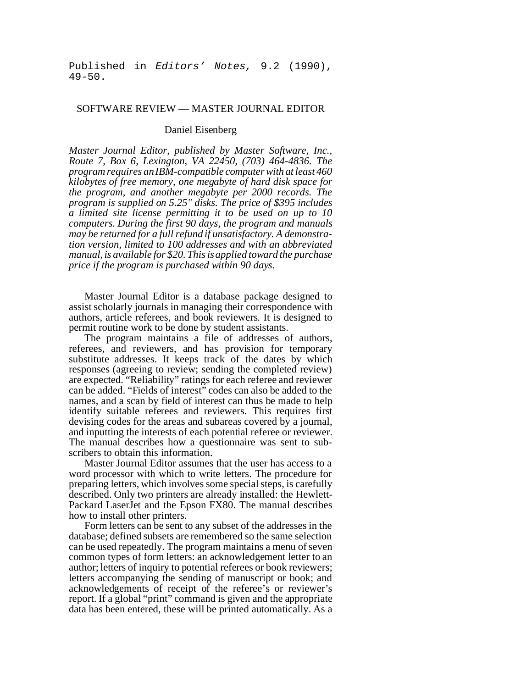Published in *Editors' Notes,* 9.2 (1990), 49-50.

## SOFTWARE REVIEW — MASTER JOURNAL EDITOR

## Daniel Eisenberg

*Master Journal Editor, published by Master Software, Inc., Route 7, Box 6, Lexington, VA 22450, (703) 464-4836. The program requires an IBM-compatible computer with at least 460 kilobytes of free memory, one megabyte of hard disk space for the program, and another megabyte per 2000 records. The program is supplied on 5.25" disks. The price of \$395 includes a limited site license permitting it to be used on up to 10 computers. During the first 90 days, the program and manuals may be returned for a full refund if unsatisfactory. A demonstration version, limited to 100 addresses and with an abbreviated manual, is available for \$20. This is applied toward the purchase price if the program is purchased within 90 days.*

Master Journal Editor is a database package designed to assist scholarly journals in managing their correspondence with authors, article referees, and book reviewers. It is designed to permit routine work to be done by student assistants.

The program maintains a file of addresses of authors, referees, and reviewers, and has provision for temporary substitute addresses. It keeps track of the dates by which responses (agreeing to review; sending the completed review) are expected. "Reliability" ratings for each referee and reviewer can be added. "Fields of interest" codes can also be added to the names, and a scan by field of interest can thus be made to help identify suitable referees and reviewers. This requires first devising codes for the areas and subareas covered by a journal, and inputting the interests of each potential referee or reviewer. The manual describes how a questionnaire was sent to subscribers to obtain this information.

Master Journal Editor assumes that the user has access to a word processor with which to write letters. The procedure for preparing letters, which involves some special steps, is carefully described. Only two printers are already installed: the Hewlett-Packard LaserJet and the Epson FX80. The manual describes how to install other printers.

Form letters can be sent to any subset of the addresses in the database; defined subsets are remembered so the same selection can be used repeatedly. The program maintains a menu of seven common types of form letters: an acknowledgement letter to an author; letters of inquiry to potential referees or book reviewers; letters accompanying the sending of manuscript or book; and acknowledgements of receipt of the referee's or reviewer's report. If a global "print" command is given and the appropriate data has been entered, these will be printed automatically. As a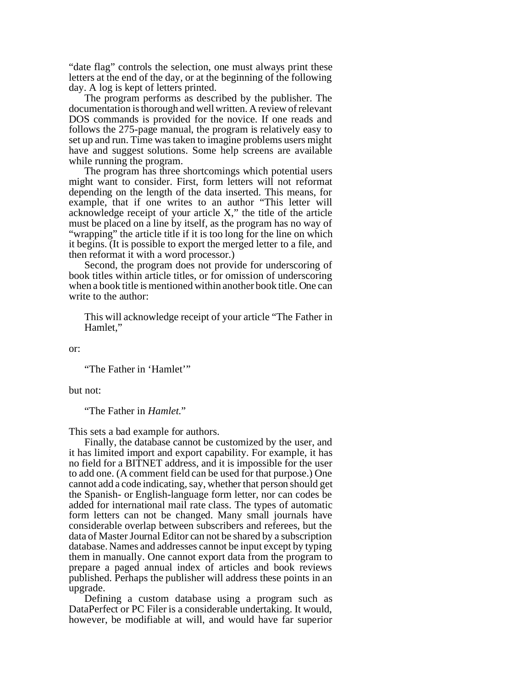"date flag" controls the selection, one must always print these letters at the end of the day, or at the beginning of the following day. A log is kept of letters printed.

The program performs as described by the publisher. The documentation is thorough and well written. A review of relevant DOS commands is provided for the novice. If one reads and follows the 275-page manual, the program is relatively easy to set up and run. Time was taken to imagine problems users might have and suggest solutions. Some help screens are available while running the program.

The program has three shortcomings which potential users might want to consider. First, form letters will not reformat depending on the length of the data inserted. This means, for example, that if one writes to an author "This letter will acknowledge receipt of your article X," the title of the article must be placed on a line by itself, as the program has no way of "wrapping" the article title if it is too long for the line on which it begins. (It is possible to export the merged letter to a file, and then reformat it with a word processor.)

Second, the program does not provide for underscoring of book titles within article titles, or for omission of underscoring when a book title is mentioned within another book title. One can write to the author:

This will acknowledge receipt of your article "The Father in Hamlet,"

or:

"The Father in 'Hamlet'"

but not:

"The Father in *Hamlet*."

This sets a bad example for authors.

Finally, the database cannot be customized by the user, and it has limited import and export capability. For example, it has no field for a BITNET address, and it is impossible for the user to add one. (A comment field can be used for that purpose.) One cannot add a code indicating, say, whether that person should get the Spanish- or English-language form letter, nor can codes be added for international mail rate class. The types of automatic form letters can not be changed. Many small journals have considerable overlap between subscribers and referees, but the data of Master Journal Editor can not be shared by a subscription database. Names and addresses cannot be input except by typing them in manually. One cannot export data from the program to prepare a paged annual index of articles and book reviews published. Perhaps the publisher will address these points in an upgrade.

Defining a custom database using a program such as DataPerfect or PC Filer is a considerable undertaking. It would, however, be modifiable at will, and would have far superior